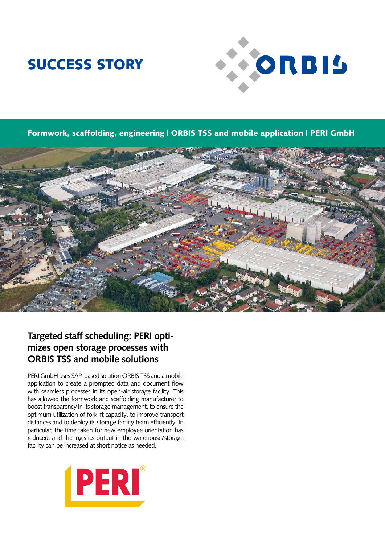# SUCCESS STORY



Formwork, scaffolding, engineering | ORBIS TSS and mobile application | PERI GmbH



### **Targeted staff scheduling: PERI optimizes open storage processes with ORBIS TSS and mobile solutions**

PERI GmbH uses SAP-based solution ORBIS TSS and a mobile application to create a prompted data and document flow with seamless processes in its open-air storage facility. This has allowed the formwork and scaffolding manufacturer to boost transparency in its storage management, to ensure the optimum utilization of forklift capacity, to improve transport distances and to deploy its storage facility team efficiently. In particular, the time taken for new employee orientation has reduced, and the logistics output in the warehouse/storage facility can be increased at short notice as needed.

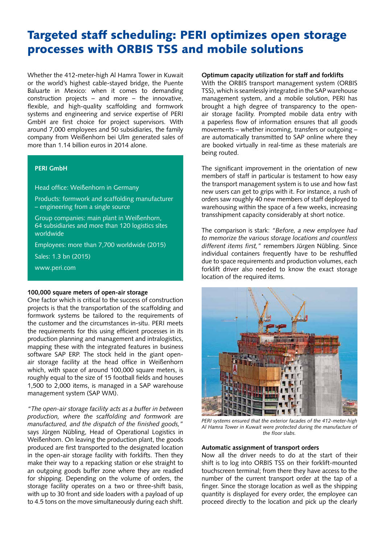### Targeted staff scheduling: PERI optimizes open storage processes with ORBIS TSS and mobile solutions

Whether the 412-meter-high Al Hamra Tower in Kuwait or the world's highest cable-stayed bridge, the Puente Baluarte in Mexico: when it comes to demanding construction projects – and more – the innovative, flexible, and high-quality scaffolding and formwork systems and engineering and service expertise of PERI GmbH are first choice for project supervisors. With around 7,000 employees and 50 subsidiaries, the family company from Weißenhorn bei Ulm generated sales of more than 1.14 billion euros in 2014 alone.

### **PERI GmbH**

Head office: Weißenhorn in Germany

Products: formwork and scaffolding manufacturer – engineering from a single source

Group companies: main plant in Weißenhorn, 64 subsidiaries and more than 120 logistics sites worldwide

Employees: more than 7,700 worldwide (2015)

Sales: 1.3 bn (2015)

www.peri.com

#### **100,000 square meters of open-air storage**

One factor which is critical to the success of construction projects is that the transportation of the scaffolding and formwork systems be tailored to the requirements of the customer and the circumstances in-situ. PERI meets the requirements for this using efficient processes in its production planning and management and intralogistics, mapping these with the integrated features in business software SAP ERP. The stock held in the giant openair storage facility at the head office in Weißenhorn which, with space of around 100,000 square meters, is roughly equal to the size of 15 football fields and houses 1,500 to 2,000 items, is managed in a SAP warehouse management system (SAP WM).

*"The open-air storage facility acts as a buffer in between production, where the scaffolding and formwork are manufactured, and the dispatch of the finished goods,"* says Jürgen Nübling, Head of Operational Logistics in Weißenhorn. On leaving the production plant, the goods produced are first transported to the designated location in the open-air storage facility with forklifts. Then they make their way to a repacking station or else straight to an outgoing goods buffer zone where they are readied for shipping. Depending on the volume of orders, the storage facility operates on a two or three-shift basis, with up to 30 front and side loaders with a payload of up to 4.5 tons on the move simultaneously during each shift.

#### **Optimum capacity utilization for staff and forklifts**

With the ORBIS transport management system (ORBIS TSS), which is seamlessly integrated in the SAP warehouse management system, and a mobile solution, PERI has brought a high degree of transparency to the openair storage facility. Prompted mobile data entry with a paperless flow of information ensures that all goods movements – whether incoming, transfers or outgoing – are automatically transmitted to SAP online where they are booked virtually in real-time as these materials are being routed.

The significant improvement in the orientation of new members of staff in particular is testament to how easy the transport management system is to use and how fast new users can get to grips with it. For instance, a rush of orders saw roughly 40 new members of staff deployed to warehousing within the space of a few weeks, increasing transshipment capacity considerably at short notice.

The comparison is stark: *"Before, a new employee had to memorize the various storage locations and countless different items first,"* remembers Jürgen Nübling. Since individual containers frequently have to be reshuffled due to space requirements and production volumes, each forklift driver also needed to know the exact storage location of the required items.



*PERI systems ensured that the exterior facades of the 412-meter-high Al Hamra Tower in Kuwait were protected during the manufacture of the floor slabs.*

#### **Automatic assignment of transport orders**

Now all the driver needs to do at the start of their shift is to log into ORBIS TSS on their forklift-mounted touchscreen terminal; from there they have access to the number of the current transport order at the tap of a finger. Since the storage location as well as the shipping quantity is displayed for every order, the employee can proceed directly to the location and pick up the clearly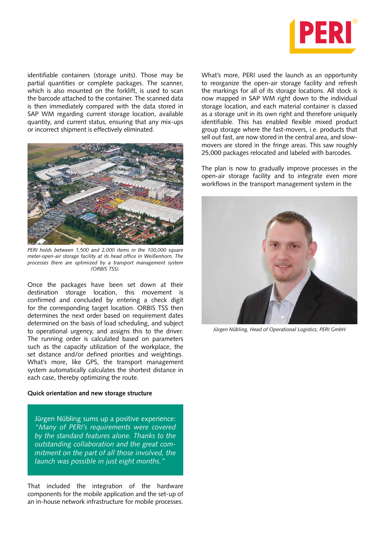

identifiable containers (storage units). Those may be partial quantities or complete packages. The scanner, which is also mounted on the forklift, is used to scan the barcode attached to the container. The scanned data is then immediately compared with the data stored in SAP WM regarding current storage location, available quantity, and current status, ensuring that any mix-ups or incorrect shipment is effectively eliminated.



*PERI holds between 1,500 and 2,000 items in the 100,000 square meter-open-air storage facility at its head office in Weißenhorn. The processes there are optimized by a transport management system (ORBIS TSS).*

Once the packages have been set down at their destination storage location, this movement is confirmed and concluded by entering a check digit for the corresponding target location. ORBIS TSS then determines the next order based on requirement dates determined on the basis of load scheduling, and subject to operational urgency, and assigns this to the driver. The running order is calculated based on parameters such as the capacity utilization of the workplace, the set distance and/or defined priorities and weightings. What's more, like GPS, the transport management system automatically calculates the shortest distance in each case, thereby optimizing the route.

#### **Quick orientation and new storage structure**

Jürgen Nübling sums up a positive experience: *"Many of PERI's requirements were covered by the standard features alone. Thanks to the outstanding collaboration and the great commitment on the part of all those involved, the launch was possible in just eight months."*

That included the integration of the hardware components for the mobile application and the set-up of an in-house network infrastructure for mobile processes. What's more, PERI used the launch as an opportunity to reorganize the open-air storage facility and refresh the markings for all of its storage locations. All stock is now mapped in SAP WM right down to the individual storage location, and each material container is classed as a storage unit in its own right and therefore uniquely identifiable. This has enabled flexible mixed product group storage where the fast-movers, i.e. products that sell out fast, are now stored in the central area, and slowmovers are stored in the fringe areas. This saw roughly 25,000 packages relocated and labeled with barcodes.

The plan is now to gradually improve processes in the open-air storage facility and to integrate even more workflows in the transport management system in the



*Jürgen Nübling, Head of Operational Logistics, PERI GmbH*